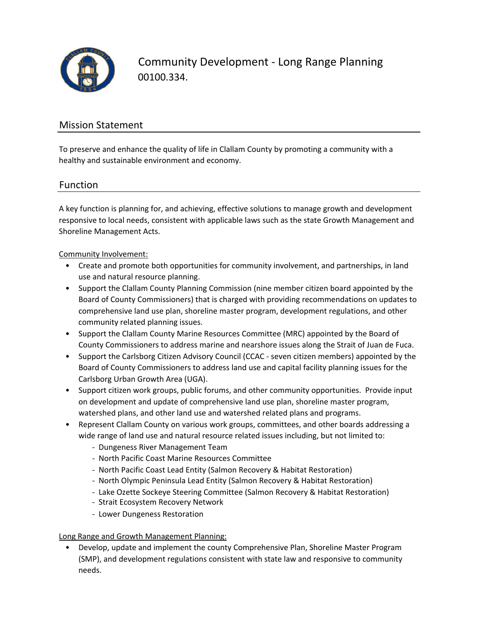

Community Development ‐ Long Range Planning 00100.334.

### Mission Statement

To preserve and enhance the quality of life in Clallam County by promoting a community with a healthy and sustainable environment and economy.

#### Function

A key function is planning for, and achieving, effective solutions to manage growth and development responsive to local needs, consistent with applicable laws such as the state Growth Management and Shoreline Management Acts.

#### Community Involvement:

- Create and promote both opportunities for community involvement, and partnerships, in land use and natural resource planning.
- Support the Clallam County Planning Commission (nine member citizen board appointed by the Board of County Commissioners) that is charged with providing recommendations on updates to comprehensive land use plan, shoreline master program, development regulations, and other community related planning issues.
- Support the Clallam County Marine Resources Committee (MRC) appointed by the Board of County Commissioners to address marine and nearshore issues along the Strait of Juan de Fuca.
- Support the Carlsborg Citizen Advisory Council (CCAC ‐ seven citizen members) appointed by the Board of County Commissioners to address land use and capital facility planning issues for the Carlsborg Urban Growth Area (UGA).
- Support citizen work groups, public forums, and other community opportunities. Provide input on development and update of comprehensive land use plan, shoreline master program, watershed plans, and other land use and watershed related plans and programs.
- Represent Clallam County on various work groups, committees, and other boards addressing a wide range of land use and natural resource related issues including, but not limited to:
	- ‐ Dungeness River Management Team
	- ‐ North Pacific Coast Marine Resources Committee
	- ‐ North Pacific Coast Lead Entity (Salmon Recovery & Habitat Restoration)
	- ‐ North Olympic Peninsula Lead Entity (Salmon Recovery & Habitat Restoration)
	- ‐ Lake Ozette Sockeye Steering Committee (Salmon Recovery & Habitat Restoration)
	- ‐ Strait Ecosystem Recovery Network
	- ‐ Lower Dungeness Restoration

#### Long Range and Growth Management Planning:

• Develop, update and implement the county Comprehensive Plan, Shoreline Master Program (SMP), and development regulations consistent with state law and responsive to community needs.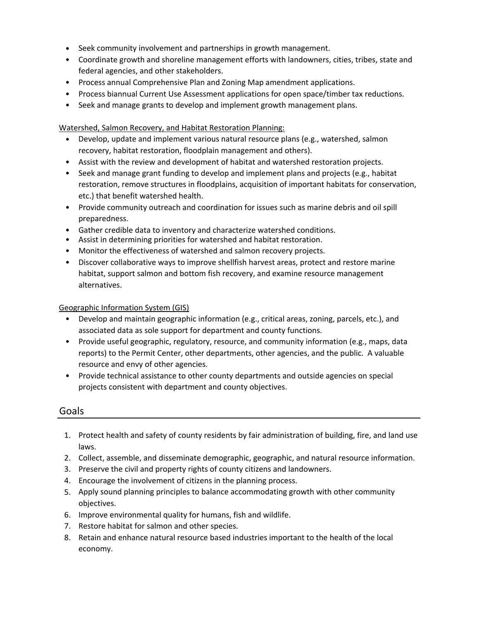- Seek community involvement and partnerships in growth management.
- Coordinate growth and shoreline management efforts with landowners, cities, tribes, state and federal agencies, and other stakeholders.
- Process annual Comprehensive Plan and Zoning Map amendment applications.
- Process biannual Current Use Assessment applications for open space/timber tax reductions.
- Seek and manage grants to develop and implement growth management plans.

Watershed, Salmon Recovery, and Habitat Restoration Planning:

- Develop, update and implement various natural resource plans (e.g., watershed, salmon recovery, habitat restoration, floodplain management and others).
- Assist with the review and development of habitat and watershed restoration projects.
- Seek and manage grant funding to develop and implement plans and projects (e.g., habitat restoration, remove structures in floodplains, acquisition of important habitats for conservation, etc.) that benefit watershed health.
- Provide community outreach and coordination for issues such as marine debris and oil spill preparedness.
- Gather credible data to inventory and characterize watershed conditions.
- Assist in determining priorities for watershed and habitat restoration.
- Monitor the effectiveness of watershed and salmon recovery projects.
- Discover collaborative ways to improve shellfish harvest areas, protect and restore marine habitat, support salmon and bottom fish recovery, and examine resource management alternatives.

#### Geographic Information System (GIS)

- Develop and maintain geographic information (e.g., critical areas, zoning, parcels, etc.), and associated data as sole support for department and county functions.
- Provide useful geographic, regulatory, resource, and community information (e.g., maps, data reports) to the Permit Center, other departments, other agencies, and the public. A valuable resource and envy of other agencies.
- Provide technical assistance to other county departments and outside agencies on special projects consistent with department and county objectives.

### Goals

- 1. Protect health and safety of county residents by fair administration of building, fire, and land use laws.
- 2. Collect, assemble, and disseminate demographic, geographic, and natural resource information.
- 3. Preserve the civil and property rights of county citizens and landowners.
- 4. Encourage the involvement of citizens in the planning process.
- 5. Apply sound planning principles to balance accommodating growth with other community objectives.
- 6. Improve environmental quality for humans, fish and wildlife.
- 7. Restore habitat for salmon and other species.
- 8. Retain and enhance natural resource based industries important to the health of the local economy.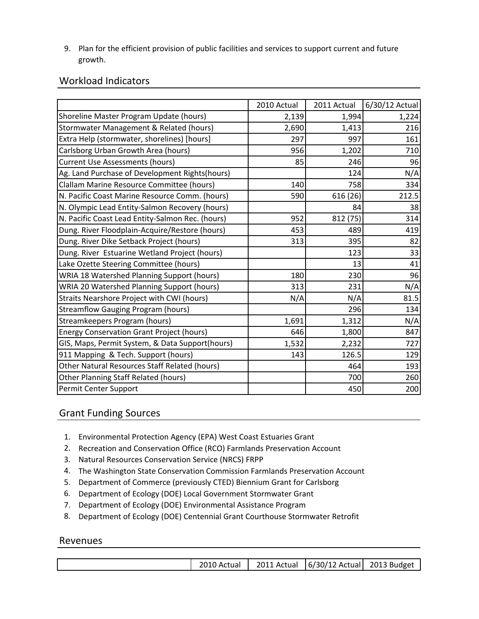9. Plan for the efficient provision of public facilities and services to support current and future growth.

## Workload Indicators

|                                                  | 2010 Actual | 2011 Actual | 6/30/12 Actual |
|--------------------------------------------------|-------------|-------------|----------------|
| Shoreline Master Program Update (hours)          | 2,139       | 1,994       | 1,224          |
| Stormwater Management & Related (hours)          | 2,690       | 1,413       | 216            |
| Extra Help (stormwater, shorelines) [hours]      | 297         | 997         | 161            |
| Carlsborg Urban Growth Area (hours)              | 956         | 1,202       | 710            |
| <b>Current Use Assessments (hours)</b>           | 85          | 246         | 96             |
| Ag. Land Purchase of Development Rights(hours)   |             | 124         | N/A            |
| Clallam Marine Resource Committee (hours)        | 140         | 758         | 334            |
| N. Pacific Coast Marine Resource Comm. (hours)   | 590         | 616 (26)    | 212.5          |
| N. Olympic Lead Entity-Salmon Recovery (hours)   |             | 84          | 38             |
| N. Pacific Coast Lead Entity-Salmon Rec. (hours) | 952         | 812 (75)    | 314            |
| Dung. River Floodplain-Acquire/Restore (hours)   | 453         | 489         | 419            |
| Dung. River Dike Setback Project (hours)         | 313         | 395         | 82             |
| Dung. River Estuarine Wetland Project (hours)    |             | 123         | 33             |
| Lake Ozette Steering Committee (hours)           |             | 13          | 41             |
| WRIA 18 Watershed Planning Support (hours)       | 180         | 230         | 96             |
| WRIA 20 Watershed Planning Support (hours)       | 313         | 231         | N/A            |
| Straits Nearshore Project with CWI (hours)       | N/A         | N/A         | 81.5           |
| <b>Streamflow Gauging Program (hours)</b>        |             | 296         | 134            |
| Streamkeepers Program (hours)                    | 1,691       | 1,312       | N/A            |
| <b>Energy Conservation Grant Project (hours)</b> | 646         | 1,800       | 847            |
| GIS, Maps, Permit System, & Data Support(hours)  | 1,532       | 2,232       | 727            |
| 911 Mapping & Tech. Support (hours)              | 143         | 126.5       | 129            |
| Other Natural Resources Staff Related (hours)    |             | 464         | 193            |
| Other Planning Staff Related (hours)             |             | 700         | 260            |
| Permit Center Support                            |             | 450         | 200            |

## Grant Funding Sources

- 1. Environmental Protection Agency (EPA) West Coast Estuaries Grant
- 2. Recreation and Conservation Office (RCO) Farmlands Preservation Account
- 3. Natural Resources Conservation Service (NRCS) FRPP
- 4. The Washington State Conservation Commission Farmlands Preservation Account
- 5. Department of Commerce (previously CTED) Biennium Grant for Carlsborg
- 6. Department of Ecology (DOE) Local Government Stormwater Grant
- 7. Department of Ecology (DOE) Environmental Assistance Program
- 8. Department of Ecology (DOE) Centennial Grant Courthouse Stormwater Retrofit

### Revenues

| 2010 Actual   2011 Actual   6/30/12 Actual   2013 Budget |  |
|----------------------------------------------------------|--|
|----------------------------------------------------------|--|